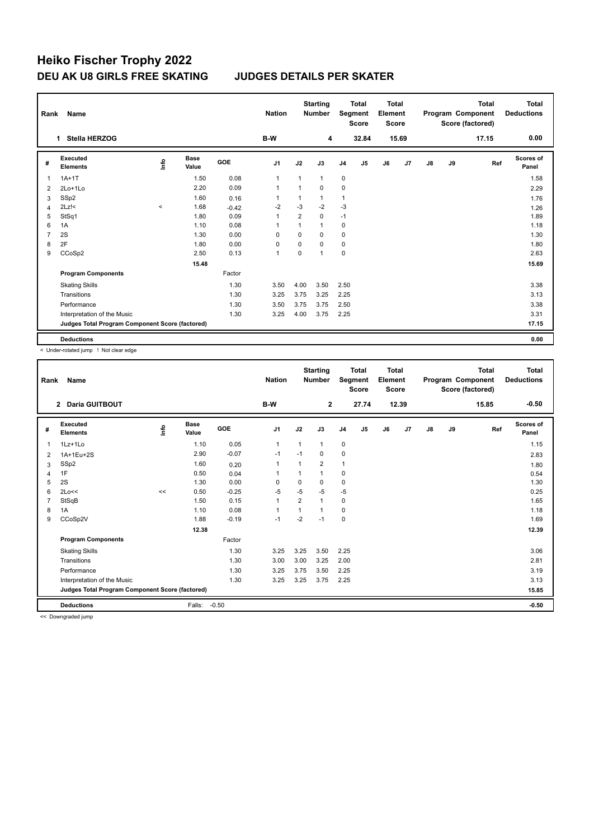## **Heiko Fischer Trophy 2022 DEU AK U8 GIRLS FREE SKATING JUDGES DETAILS PER SKATER**

| Rank           | Name                                            |                     |                      |            | <b>Nation</b>  |                | <b>Starting</b><br><b>Number</b> | <b>Total</b><br>Segment<br><b>Score</b> |                | <b>Total</b><br>Element<br>Score |       | Program Component<br>Score (factored) |    | <b>Total</b> | Total<br><b>Deductions</b> |
|----------------|-------------------------------------------------|---------------------|----------------------|------------|----------------|----------------|----------------------------------|-----------------------------------------|----------------|----------------------------------|-------|---------------------------------------|----|--------------|----------------------------|
|                | Stella HERZOG<br>1.                             |                     |                      |            | B-W            |                | 4                                |                                         | 32.84          |                                  | 15.69 |                                       |    | 17.15        | 0.00                       |
| #              | Executed<br><b>Elements</b>                     | lnfo                | <b>Base</b><br>Value | <b>GOE</b> | J <sub>1</sub> | J2             | J3                               | J <sub>4</sub>                          | J <sub>5</sub> | J6                               | J7    | J8                                    | J9 | Ref          | <b>Scores of</b><br>Panel  |
| 1              | $1A+1T$                                         |                     | 1.50                 | 0.08       | $\mathbf 1$    | $\mathbf{1}$   | $\mathbf{1}$                     | $\mathbf 0$                             |                |                                  |       |                                       |    |              | 1.58                       |
| $\overline{2}$ | 2Lo+1Lo                                         |                     | 2.20                 | 0.09       | $\overline{1}$ | $\mathbf{1}$   | $\mathbf 0$                      | 0                                       |                |                                  |       |                                       |    |              | 2.29                       |
| 3              | SSp2                                            |                     | 1.60                 | 0.16       | -1             | $\mathbf{1}$   | $\mathbf{1}$                     | 1                                       |                |                                  |       |                                       |    |              | 1.76                       |
| $\overline{4}$ | $2Lz$ !<                                        | $\hat{\phantom{a}}$ | 1.68                 | $-0.42$    | $-2$           | $-3$           | $-2$                             | $-3$                                    |                |                                  |       |                                       |    |              | 1.26                       |
| 5              | StSq1                                           |                     | 1.80                 | 0.09       | $\overline{1}$ | $\overline{2}$ | 0                                | $-1$                                    |                |                                  |       |                                       |    |              | 1.89                       |
| 6              | 1A                                              |                     | 1.10                 | 0.08       | -1             | 1              | $\mathbf{1}$                     | 0                                       |                |                                  |       |                                       |    |              | 1.18                       |
| 7              | 2S                                              |                     | 1.30                 | 0.00       | 0              | $\Omega$       | $\Omega$                         | 0                                       |                |                                  |       |                                       |    |              | 1.30                       |
| 8              | 2F                                              |                     | 1.80                 | 0.00       | 0              | $\mathbf 0$    | $\mathbf 0$                      | 0                                       |                |                                  |       |                                       |    |              | 1.80                       |
| 9              | CCoSp2                                          |                     | 2.50                 | 0.13       | $\mathbf{1}$   | $\mathbf 0$    | $\overline{1}$                   | 0                                       |                |                                  |       |                                       |    |              | 2.63                       |
|                |                                                 |                     | 15.48                |            |                |                |                                  |                                         |                |                                  |       |                                       |    |              | 15.69                      |
|                | <b>Program Components</b>                       |                     |                      | Factor     |                |                |                                  |                                         |                |                                  |       |                                       |    |              |                            |
|                | <b>Skating Skills</b>                           |                     |                      | 1.30       | 3.50           | 4.00           | 3.50                             | 2.50                                    |                |                                  |       |                                       |    |              | 3.38                       |
|                | Transitions                                     |                     |                      | 1.30       | 3.25           | 3.75           | 3.25                             | 2.25                                    |                |                                  |       |                                       |    |              | 3.13                       |
|                | Performance                                     |                     |                      | 1.30       | 3.50           | 3.75           | 3.75                             | 2.50                                    |                |                                  |       |                                       |    |              | 3.38                       |
|                | Interpretation of the Music                     |                     |                      | 1.30       | 3.25           | 4.00           | 3.75                             | 2.25                                    |                |                                  |       |                                       |    |              | 3.31                       |
|                | Judges Total Program Component Score (factored) |                     |                      |            |                |                |                                  |                                         |                |                                  |       |                                       |    |              | 17.15                      |
|                | <b>Deductions</b>                               |                     |                      |            |                |                |                                  |                                         |                |                                  |       |                                       |    |              | 0.00                       |

< Under-rotated jump ! Not clear edge

| Rank                                            | <b>Name</b>                 |      |                      |         | <b>Nation</b>  |                | <b>Starting</b><br><b>Number</b> | Segment        | <b>Total</b><br><b>Score</b> | <b>Total</b><br>Element<br><b>Score</b> |       |       |    | <b>Total</b><br>Program Component<br>Score (factored) | <b>Total</b><br><b>Deductions</b> |
|-------------------------------------------------|-----------------------------|------|----------------------|---------|----------------|----------------|----------------------------------|----------------|------------------------------|-----------------------------------------|-------|-------|----|-------------------------------------------------------|-----------------------------------|
|                                                 | 2 Daria GUITBOUT            |      |                      |         | B-W            |                | $\mathbf{2}$                     |                | 27.74                        |                                         | 12.39 |       |    | 15.85                                                 | $-0.50$                           |
| #                                               | Executed<br><b>Elements</b> | lnfo | <b>Base</b><br>Value | GOE     | J <sub>1</sub> | J2             | J3                               | J <sub>4</sub> | J <sub>5</sub>               | J6                                      | J7    | J8    | J9 | Ref                                                   | Scores of<br>Panel                |
| 1                                               | 1Lz+1Lo                     |      | 1.10                 | 0.05    | $\mathbf{1}$   | 1              | $\mathbf{1}$                     | $\mathbf 0$    |                              |                                         |       |       |    |                                                       | 1.15                              |
| 2                                               | 1A+1Eu+2S                   |      | 2.90                 | $-0.07$ | $-1$           | $-1$           | $\Omega$                         | 0              |                              |                                         |       |       |    |                                                       | 2.83                              |
| 3                                               | SSp2                        |      | 1.60                 | 0.20    | 1              | 1              | $\overline{2}$                   | 1              |                              |                                         |       |       |    |                                                       | 1.80                              |
| 4                                               | 1F                          |      | 0.50                 | 0.04    |                | 1              | 1                                | 0              |                              |                                         |       |       |    |                                                       | 0.54                              |
| 5                                               | 2S                          |      | 1.30                 | 0.00    | $\mathbf 0$    | 0              | 0                                | $\pmb{0}$      |                              |                                         |       |       |    |                                                       | 1.30                              |
| 6                                               | 2Lo<<                       | <<   | 0.50                 | $-0.25$ | $-5$           | $-5$           | $-5$                             | $-5$           |                              |                                         |       |       |    |                                                       | 0.25                              |
|                                                 | StSqB                       |      | 1.50                 | 0.15    | $\overline{1}$ | $\overline{2}$ | 1                                | 0              |                              |                                         |       |       |    |                                                       | 1.65                              |
| 8                                               | 1A                          |      | 1.10                 | 0.08    | $\mathbf 1$    | 1              | 1                                | 0              |                              |                                         |       |       |    |                                                       | 1.18                              |
| 9                                               | CCoSp2V                     |      | 1.88                 | $-0.19$ | $-1$           | $-2$           | $-1$                             | $\mathbf 0$    |                              |                                         |       |       |    |                                                       | 1.69                              |
|                                                 |                             |      | 12.38                |         |                |                |                                  |                |                              |                                         |       |       |    |                                                       | 12.39                             |
|                                                 | <b>Program Components</b>   |      |                      | Factor  |                |                |                                  |                |                              |                                         |       |       |    |                                                       |                                   |
|                                                 | <b>Skating Skills</b>       |      |                      | 1.30    | 3.25           | 3.25           | 3.50                             | 2.25           |                              |                                         |       |       |    |                                                       | 3.06                              |
|                                                 | Transitions                 |      |                      | 1.30    | 3.00           | 3.00           | 3.25                             | 2.00           |                              |                                         |       |       |    |                                                       | 2.81                              |
|                                                 | Performance                 |      |                      | 1.30    | 3.25           | 3.75           | 3.50                             | 2.25           |                              |                                         |       |       |    |                                                       | 3.19                              |
|                                                 | Interpretation of the Music |      |                      | 1.30    | 3.25           | 3.25           | 3.75                             | 2.25           |                              |                                         |       |       |    |                                                       | 3.13                              |
| Judges Total Program Component Score (factored) |                             |      |                      |         |                |                |                                  |                |                              |                                         |       | 15.85 |    |                                                       |                                   |
|                                                 | <b>Deductions</b>           |      | Falls:               | $-0.50$ |                |                |                                  |                |                              |                                         |       |       |    |                                                       | $-0.50$                           |

<< Downgraded jump